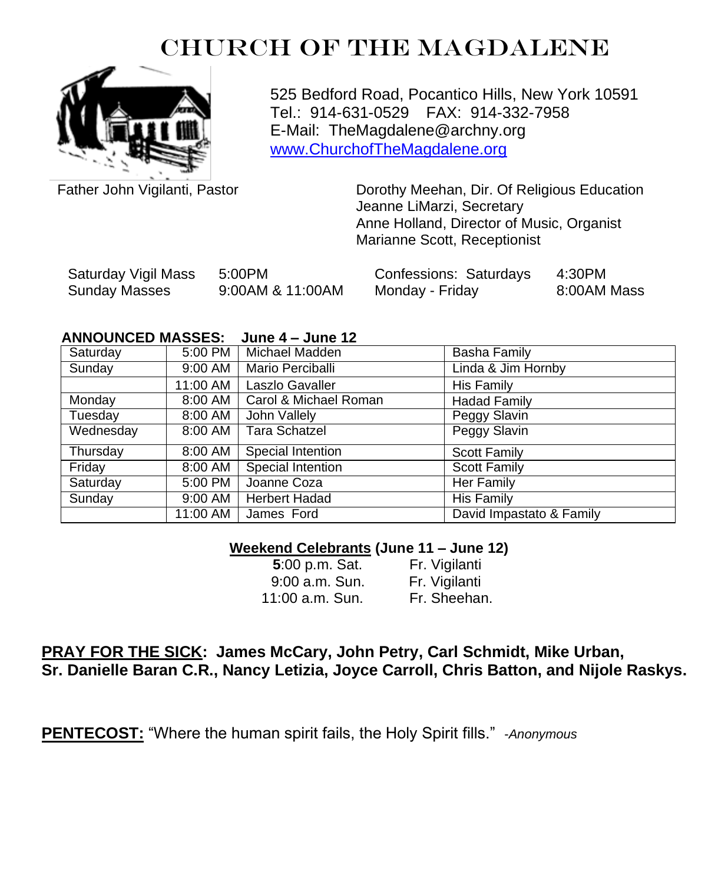# CHURCH OF THE MAGDALENE



525 Bedford Road, Pocantico Hills, New York 10591 Tel.: 914-631-0529 FAX: 914-332-7958 E-Mail: TheMagdalene@archny.org [www.ChurchofTheMagdalene.org](http://www.churchofthemagdalene.org/)

Father John Vigilanti, Pastor

Dorothy Meehan, Dir. Of Religious Education Jeanne LiMarzi, Secretary Anne Holland, Director of Music, Organist Marianne Scott, Receptionist

| Saturday Vigil Mass | 5:00PM           | Confessions: Saturdays | 4:30PM      |
|---------------------|------------------|------------------------|-------------|
| Sunday Masses       | 9:00AM & 11:00AM | Monday - Friday        | 8:00AM Mass |

#### **ANNOUNCED MASSES: June 4 – June 12**

| Saturday  | 5:00 PM  | Michael Madden        | <b>Basha Family</b>      |
|-----------|----------|-----------------------|--------------------------|
| Sunday    | 9:00 AM  | Mario Perciballi      | Linda & Jim Hornby       |
|           | 11:00 AM | Laszlo Gavaller       | His Family               |
| Monday    | 8:00 AM  | Carol & Michael Roman | <b>Hadad Family</b>      |
| Tuesday   | 8:00 AM  | John Vallely          | Peggy Slavin             |
| Wednesday | 8:00 AM  | <b>Tara Schatzel</b>  | Peggy Slavin             |
| Thursday  | 8:00 AM  | Special Intention     | <b>Scott Family</b>      |
| Friday    | 8:00 AM  | Special Intention     | <b>Scott Family</b>      |
| Saturday  | 5:00 PM  | Joanne Coza           | Her Family               |
| Sunday    | 9:00 AM  | <b>Herbert Hadad</b>  | His Family               |
|           | 11:00 AM | James Ford            | David Impastato & Family |

### **Weekend Celebrants (June 11 – June 12)**

| 5:00 p.m. Sat.  | Fr. Vigilanti |
|-----------------|---------------|
| 9:00 a.m. Sun.  | Fr. Vigilanti |
| 11:00 a.m. Sun. | Fr. Sheehan.  |

## **PRAY FOR THE SICK: James McCary, John Petry, Carl Schmidt, Mike Urban, Sr. Danielle Baran C.R., Nancy Letizia, Joyce Carroll, Chris Batton, and Nijole Raskys.**

**PENTECOST:** "Where the human spirit fails, the Holy Spirit fills." -*Anonymous*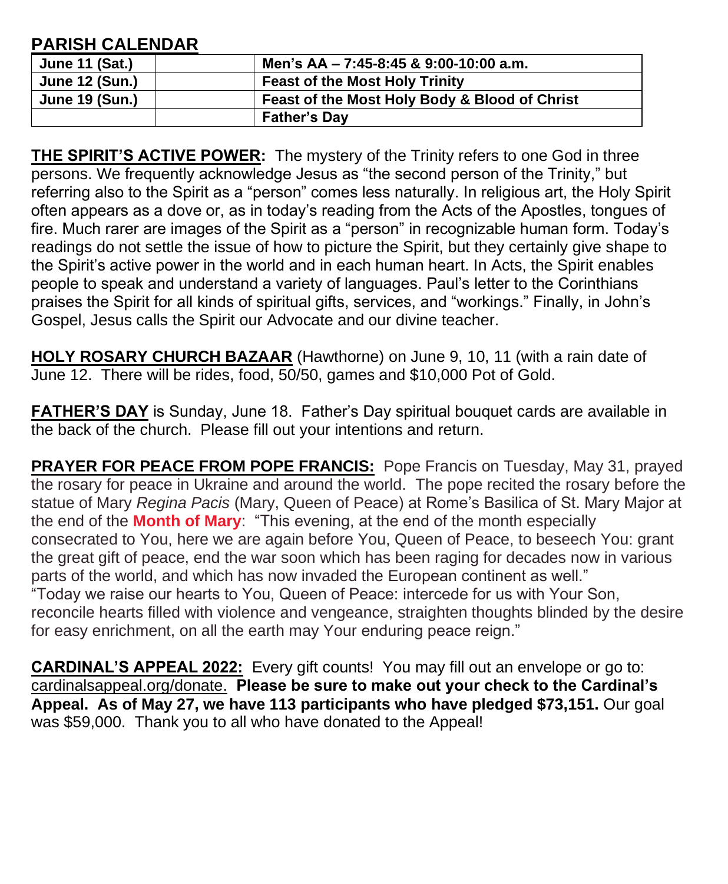## **PARISH CALENDAR**

| <b>June 11 (Sat.)</b> | Men's AA - 7:45-8:45 & 9:00-10:00 a.m.        |
|-----------------------|-----------------------------------------------|
| <b>June 12 (Sun.)</b> | <b>Feast of the Most Holy Trinity</b>         |
| <b>June 19 (Sun.)</b> | Feast of the Most Holy Body & Blood of Christ |
|                       | <b>Father's Dav</b>                           |

**THE SPIRIT'S ACTIVE POWER:** The mystery of the Trinity refers to one God in three persons. We frequently acknowledge Jesus as "the second person of the Trinity," but referring also to the Spirit as a "person" comes less naturally. In religious art, the Holy Spirit often appears as a dove or, as in today's reading from the Acts of the Apostles, tongues of fire. Much rarer are images of the Spirit as a "person" in recognizable human form. Today's readings do not settle the issue of how to picture the Spirit, but they certainly give shape to the Spirit's active power in the world and in each human heart. In Acts, the Spirit enables people to speak and understand a variety of languages. Paul's letter to the Corinthians praises the Spirit for all kinds of spiritual gifts, services, and "workings." Finally, in John's Gospel, Jesus calls the Spirit our Advocate and our divine teacher.

**HOLY ROSARY CHURCH BAZAAR** (Hawthorne) on June 9, 10, 11 (with a rain date of June 12. There will be rides, food, 50/50, games and \$10,000 Pot of Gold.

**FATHER'S DAY** is Sunday, June 18. Father's Day spiritual bouquet cards are available in the back of the church. Please fill out your intentions and return.

**PRAYER FOR PEACE FROM POPE FRANCIS:** Pope Francis on Tuesday, May 31, prayed the rosary for peace in Ukraine and around the world. The pope recited the rosary before the statue of Mary *Regina Pacis* (Mary, Queen of Peace) at Rome's Basilica of St. Mary Major at the end of the **[Month of Mary](https://www.ncregister.com/blog/why-is-may-the-month-of-mary)**: "This evening, at the end of the month especially consecrated to You, here we are again before You, Queen of Peace, to beseech You: grant the great gift of peace, end the war soon which has been raging for decades now in various parts of the world, and which has now invaded the European continent as well." "Today we raise our hearts to You, Queen of Peace: intercede for us with Your Son, reconcile hearts filled with violence and vengeance, straighten thoughts blinded by the desire for easy enrichment, on all the earth may Your enduring peace reign."

**CARDINAL'S APPEAL 2022:** Every gift counts! You may fill out an envelope or go to: cardinalsappeal.org/donate. **Please be sure to make out your check to the Cardinal's Appeal. As of May 27, we have 113 participants who have pledged \$73,151.** Our goal was \$59,000. Thank you to all who have donated to the Appeal!